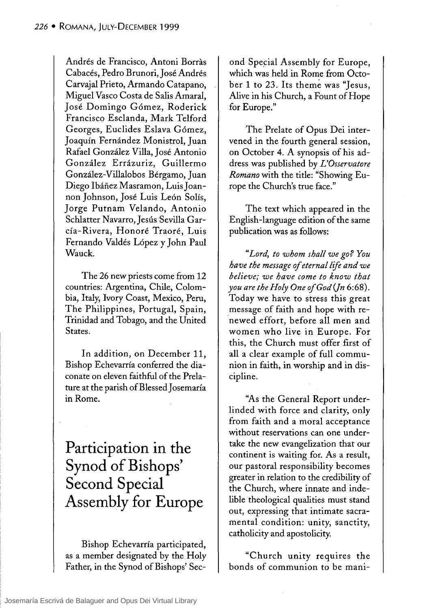Andrés de Francisco, Antoni Borras Cabacés, Pedro Brunori, José Andrés Carvajal Prieto, Armando Catapano, Miguel Vasco Costa de Salis Amaral, José Domingo Gómez, Roderick Francisco Esclanda, Mark Telford Georges, Euclides Eslava Gómez, Joaquín Fernández Monistrol, Juan Rafael González Villa, José Antonio González Errázuriz, Guillermo González-Villalobos Bérgamo, Juan Diego Ibáñez Masramon, Luis Joannon Johnson, José Luis León Solís, Jorge Putnam Velando, Antonio Schlatter Navarro, Jesús Sevilla García - Rivera, Honoré Traoré, Luis Fernando Valdés López y John Paul Wauck.

The 26 new priests come from 12 countries: Argentina, Chile, Colombia, Italy, Ivory Coast, Mexico, Peru, The Philippines, Portugal, Spain, Trinidad and Tobago, and the United States.

**In** addition, on December 11, Bishop Echevarría conferred the diaconate on eleven faithful of the Prelature at the parish of Blessed Josemaría in Rome.

**Participation in the Synod of Bishops' Second Special Assembly for Europe** 

Bishop Echevarría participated, as a member designated by the Holy Father, in the Synod of Bishops' Second Special Assembly for Europe, which was held in Rome from October 1 to 23. Its theme was "Jesus, Alive in his Church, a Fount of Hope for Europe."

The Prelate of Opus Dei intervened in the fourth general session, on October 4. A synopsis of his address was published by *L'Osservatore Romano* with the title: "Showing Europe the Church's true face."

The text which appeared in the English-language edition of the same publication was as follows:

*"Lord, to whom shall we go? You have the message of eternallije and we believe; we have come to know that you are the Holy One of God (Jn 6:68).* Today we have to stress this great message of faith and hope with renewed effort, before all men and women who live in Europe. For this, the Church must offer first of all a clear example of full communion in faith, in worship and in discipline.

"As the General Report underlinded with force and clarity, only from faith and a moral acceptance without reservations can one undertake the new evangelization that our continent is waiting for. As a result, our pastoral responsibility becomes greater in relation to the credibility of the Church, where innate and indelible theological qualities must stand out, expressing that intimate sacramental condition: unity, sanctity, catholicity and apostolicity.

"Church unity requires the bonds of communion to be mani